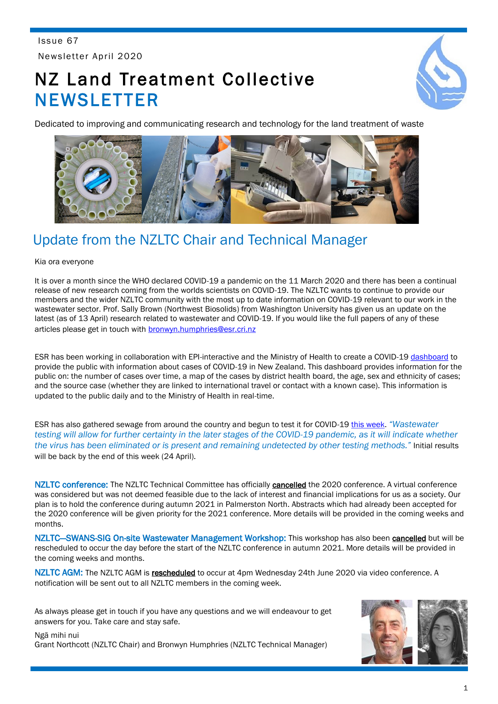Issue 67 Newsletter April 2020

# NZ Land Treatment Collective **NEWSLETTER**



Dedicated to improving and communicating research and technology for the land treatment of waste



# Update from the NZLTC Chair and Technical Manager

#### Kia ora everyone

It is over a month since the WHO declared COVID-19 a pandemic on the 11 March 2020 and there has been a continual release of new research coming from the worlds scientists on COVID-19. The NZLTC wants to continue to provide our members and the wider NZLTC community with the most up to date information on COVID-19 relevant to our work in the wastewater sector. Prof. Sally Brown (Northwest Biosolids) from Washington University has given us an update on the latest (as of 13 April) research related to wastewater and COVID-19. If you would like the full papers of any of these articles please get in touch with [bronwyn.humphries@esr.cri.nz](mailto:bronwyn.humphries@esr.cri.nz)

ESR has been working in collaboration with EPI-interactive and the Ministry of Health to create a COVID-19 [dashboard](https://nzcoviddashboard.esr.cri.nz/) to provide the public with information about cases of COVID-19 in New Zealand. This dashboard provides information for the public on: the number of cases over time, a map of the cases by district health board, the age, sex and ethnicity of cases; and the source case (whether they are linked to international travel or contact with a known case). This information is updated to the public daily and to the Ministry of Health in real-time.

ESR has also gathered sewage from around the country and begun to test it for COVID-19 [this week.](https://www.stuff.co.nz/dominion-post/news/121115525/coronavirus-sewage-testing-for-covid19-begins-this-week) *"Wastewater*  testing will allow for further certainty in the later stages of the COVID-19 pandemic, as it will indicate whether *the virus has been eliminated or is present and remaining undetected by other testing methods."* Initial results will be back by the end of this week (24 April).

NZLTC conference: The NZLTC Technical Committee has officially cancelled the 2020 conference. A virtual conference was considered but was not deemed feasible due to the lack of interest and financial implications for us as a society. Our plan is to hold the conference during autumn 2021 in Palmerston North. Abstracts which had already been accepted for the 2020 conference will be given priority for the 2021 conference. More details will be provided in the coming weeks and months.

NZLTC-SWANS-SIG On-site Wastewater Management Workshop: This workshop has also been cancelled but will be rescheduled to occur the day before the start of the NZLTC conference in autumn 2021. More details will be provided in the coming weeks and months.

NZLTC AGM: The NZLTC AGM is rescheduled to occur at 4pm Wednesday 24th June 2020 via video conference. A notification will be sent out to all NZLTC members in the coming week.

As always please get in touch if you have any questions and we will endeavour to get answers for you. Take care and stay safe.



Ngā mihi nui Grant Northcott (NZLTC Chair) and Bronwyn Humphries (NZLTC Technical Manager)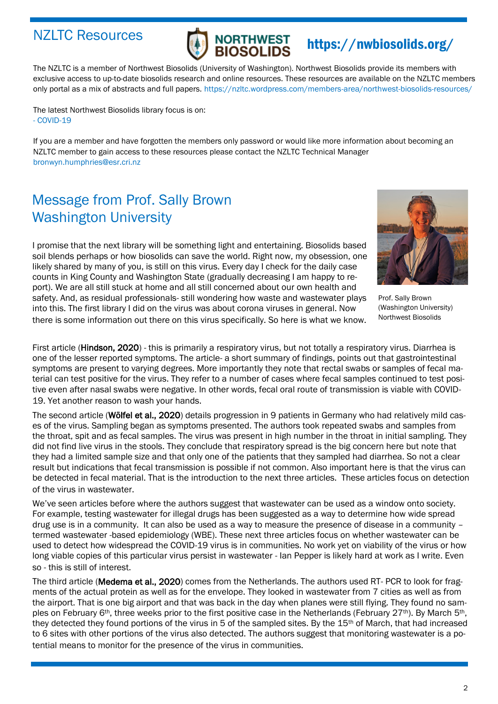### NZLTC Resources



# https://nwbiosolids.org/

The NZLTC is a member of Northwest Biosolids (University of Washington). Northwest Biosolids provide its members with exclusive access to up-to-date biosolids research and online resources. These resources are available on the NZLTC members only portal as a mix of abstracts and full papers. https://nzltc.wordpress.com/members-area/northwest-biosolids-resources/

The latest Northwest Biosolids library focus is on: - COVID-19

If you are a member and have forgotten the members only password or would like more information about becoming an NZLTC member to gain access to these resources please contact the NZLTC Technical Manager bronwyn.humphries@esr.cri.nz

# Message from Prof. Sally Brown Washington University

I promise that the next library will be something light and entertaining. Biosolids based soil blends perhaps or how biosolids can save the world. Right now, my obsession, one likely shared by many of you, is still on this virus. Every day I check for the daily case counts in King County and Washington State (gradually decreasing I am happy to report). We are all still stuck at home and all still concerned about our own health and safety. And, as residual professionals- still wondering how waste and wastewater plays into this. The first library I did on the virus was about corona viruses in general. Now there is some information out there on this virus specifically. So here is what we know.



Prof. Sally Brown (Washington University) Northwest Biosolids

First article (**Hindson, 2020**) - this is primarily a respiratory virus, but not totally a respiratory virus. Diarrhea is one of the lesser reported symptoms. The article- a short summary of findings, points out that gastrointestinal symptoms are present to varying degrees. More importantly they note that rectal swabs or samples of fecal material can test positive for the virus. They refer to a number of cases where fecal samples continued to test positive even after nasal swabs were negative. In other words, fecal oral route of transmission is viable with COVID-19. Yet another reason to wash your hands.

The second article (Wölfel et al., 2020) details progression in 9 patients in Germany who had relatively mild cases of the virus. Sampling began as symptoms presented. The authors took repeated swabs and samples from the throat, spit and as fecal samples. The virus was present in high number in the throat in initial sampling. They did not find live virus in the stools. They conclude that respiratory spread is the big concern here but note that they had a limited sample size and that only one of the patients that they sampled had diarrhea. So not a clear result but indications that fecal transmission is possible if not common. Also important here is that the virus can be detected in fecal material. That is the introduction to the next three articles. These articles focus on detection of the virus in wastewater.

We've seen articles before where the authors suggest that wastewater can be used as a window onto society. For example, testing wastewater for illegal drugs has been suggested as a way to determine how wide spread drug use is in a community. It can also be used as a way to measure the presence of disease in a community – termed wastewater -based epidemiology (WBE). These next three articles focus on whether wastewater can be used to detect how widespread the COVID-19 virus is in communities. No work yet on viability of the virus or how long viable copies of this particular virus persist in wastewater - Ian Pepper is likely hard at work as I write. Even so - this is still of interest.

The third article (Medema et al., 2020) comes from the Netherlands. The authors used RT- PCR to look for fragments of the actual protein as well as for the envelope. They looked in wastewater from 7 cities as well as from the airport. That is one big airport and that was back in the day when planes were still flying. They found no samples on February 6<sup>th</sup>, three weeks prior to the first positive case in the Netherlands (February 27<sup>th</sup>). By March 5<sup>th</sup>, they detected they found portions of the virus in 5 of the sampled sites. By the 15th of March, that had increased to 6 sites with other portions of the virus also detected. The authors suggest that monitoring wastewater is a potential means to monitor for the presence of the virus in communities.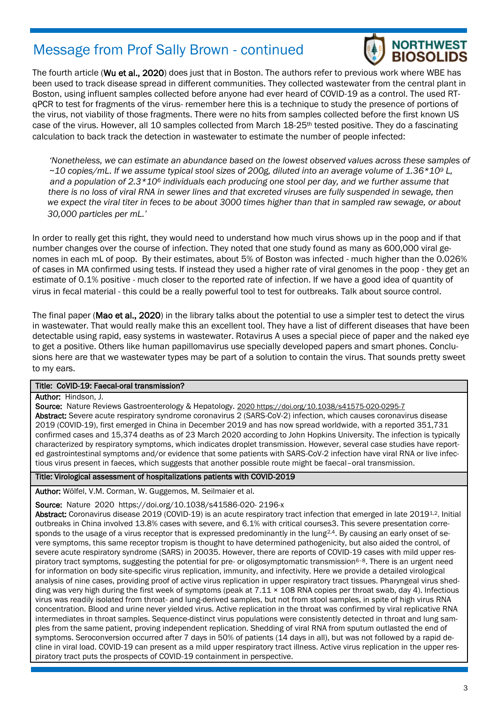### Message from Prof Sally Brown - continued



The fourth article (Wu et al., 2020) does just that in Boston. The authors refer to previous work where WBE has been used to track disease spread in different communities. They collected wastewater from the central plant in Boston, using influent samples collected before anyone had ever heard of COVID-19 as a control. The used RTqPCR to test for fragments of the virus- remember here this is a technique to study the presence of portions of the virus, not viability of those fragments. There were no hits from samples collected before the first known US case of the virus. However, all 10 samples collected from March 18-25th tested positive. They do a fascinating calculation to back track the detection in wastewater to estimate the number of people infected:

*'Nonetheless, we can estimate an abundance based on the lowest observed values across these samples of ~10 copies/mL. If we assume typical stool sizes of 200g, diluted into an average volume of 1.36\*10<sup>9</sup> L, and a population of 2.3\*10<sup>6</sup> individuals each producing one stool per day, and we further assume that there is no loss of viral RNA in sewer lines and that excreted viruses are fully suspended in sewage, then we expect the viral titer in feces to be about 3000 times higher than that in sampled raw sewage, or about 30,000 particles per mL.'*

In order to really get this right, they would need to understand how much virus shows up in the poop and if that number changes over the course of infection. They noted that one study found as many as 600,000 viral genomes in each mL of poop. By their estimates, about 5% of Boston was infected - much higher than the 0.026% of cases in MA confirmed using tests. If instead they used a higher rate of viral genomes in the poop - they get an estimate of 0.1% positive - much closer to the reported rate of infection. If we have a good idea of quantity of virus in fecal material - this could be a really powerful tool to test for outbreaks. Talk about source control.

The final paper (Mao et al., 2020) in the library talks about the potential to use a simpler test to detect the virus in wastewater. That would really make this an excellent tool. They have a list of different diseases that have been detectable using rapid, easy systems in wastewater. Rotavirus A uses a special piece of paper and the naked eye to get a positive. Others like human papillomavirus use specially developed papers and smart phones. Conclusions here are that we wastewater types may be part of a solution to contain the virus. That sounds pretty sweet to my ears.

#### Title: CoVID-19: Faecal-oral transmission?

#### Author: Hindson, J.

Source: Nature Reviews Gastroenterology & Hepatology. 2020 https://doi.org/10.1038/s41575-020-0295-7 Abstract: Severe acute respiratory syndrome coronavirus 2 (SARS-CoV-2) infection, which causes coronavirus disease 2019 (COVID-19), first emerged in China in December 2019 and has now spread worldwide, with a reported 351,731 confirmed cases and 15,374 deaths as of 23 March 2020 according to John Hopkins University. The infection is typically characterized by respiratory symptoms, which indicates droplet transmission. However, several case studies have reported gastrointestinal symptoms and/or evidence that some patients with SARS-CoV-2 infection have viral RNA or live infectious virus present in faeces, which suggests that another possible route might be faecal–oral transmission.

#### Title: Virological assessment of hospitalizations patients with COVID-2019

Author: Wölfel, V.M. Corman, W. Guggemos, M. Seilmaier et al.

#### Source: Nature 2020 https://doi.org/10.1038/s41586-020- 2196-x

Abstract: Coronavirus disease 2019 (COVID-19) is an acute respiratory tract infection that emerged in late 2019<sup>1,2</sup>. Initial outbreaks in China involved 13.8% cases with severe, and 6.1% with critical courses3. This severe presentation corresponds to the usage of a virus receptor that is expressed predominantly in the lung<sup>2,4</sup>. By causing an early onset of severe symptoms, this same receptor tropism is thought to have determined pathogenicity, but also aided the control, of severe acute respiratory syndrome (SARS) in 20035. However, there are reports of COVID-19 cases with mild upper respiratory tract symptoms, suggesting the potential for pre- or oligosymptomatic transmission6–8. There is an urgent need for information on body site-specific virus replication, immunity, and infectivity. Here we provide a detailed virological analysis of nine cases, providing proof of active virus replication in upper respiratory tract tissues. Pharyngeal virus shedding was very high during the first week of symptoms (peak at  $7.11 \times 108$  RNA copies per throat swab, day 4). Infectious virus was readily isolated from throat- and lung-derived samples, but not from stool samples, in spite of high virus RNA concentration. Blood and urine never yielded virus. Active replication in the throat was confirmed by viral replicative RNA intermediates in throat samples. Sequence-distinct virus populations were consistently detected in throat and lung samples from the same patient, proving independent replication. Shedding of viral RNA from sputum outlasted the end of symptoms. Seroconversion occurred after 7 days in 50% of patients (14 days in all), but was not followed by a rapid decline in viral load. COVID-19 can present as a mild upper respiratory tract illness. Active virus replication in the upper respiratory tract puts the prospects of COVID-19 containment in perspective.